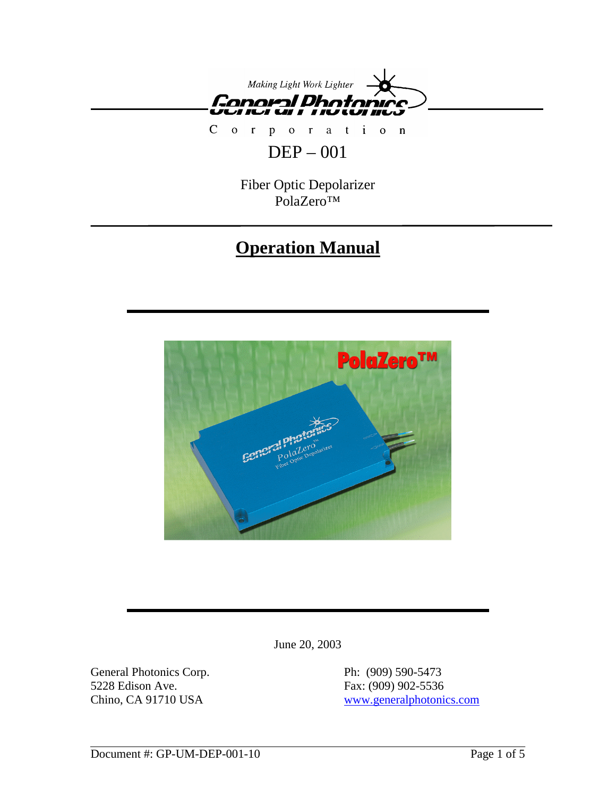

Corporation

# DEP – 001

Fiber Optic Depolarizer PolaZero™

# **Operation Manual**



June 20, 2003

General Photonics Corp. Ph: (909) 590-5473 5228 Edison Ave. Fax: (909) 902-5536

Chino, CA 91710 USA www.generalphotonics.com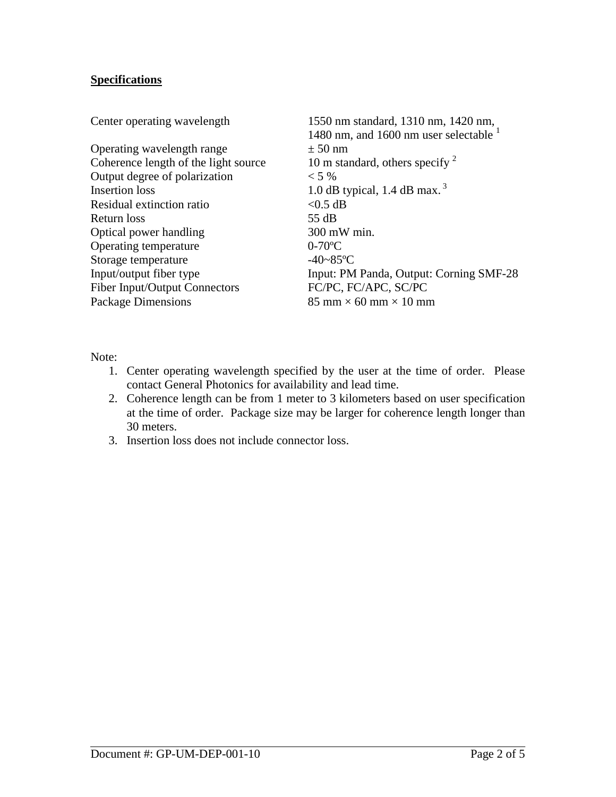# **Specifications**

| Center operating wavelength          | 1550 nm standard, 1310 nm, 1420 nm,<br>1480 nm, and 1600 nm user selectable $1$ |
|--------------------------------------|---------------------------------------------------------------------------------|
| Operating wavelength range           | $\pm 50$ nm                                                                     |
| Coherence length of the light source | 10 m standard, others specify $2^2$                                             |
| Output degree of polarization        | $< 5\%$                                                                         |
| <b>Insertion</b> loss                | 1.0 dB typical, 1.4 dB max. <sup>3</sup>                                        |
| Residual extinction ratio            | $<$ 0.5 dB                                                                      |
| Return loss                          | 55 dB                                                                           |
| Optical power handling               | 300 mW min.                                                                     |
| Operating temperature                | $0-70$ <sup>o</sup> C                                                           |
| Storage temperature                  | $-40 - 85$ °C                                                                   |
| Input/output fiber type              | Input: PM Panda, Output: Corning SMF-28                                         |
| <b>Fiber Input/Output Connectors</b> | FC/PC, FC/APC, SC/PC                                                            |
| Package Dimensions                   | 85 mm $\times$ 60 mm $\times$ 10 mm                                             |

Note:

- 1. Center operating wavelength specified by the user at the time of order. Please contact General Photonics for availability and lead time.
- 2. Coherence length can be from 1 meter to 3 kilometers based on user specification at the time of order. Package size may be larger for coherence length longer than 30 meters.
- 3. Insertion loss does not include connector loss.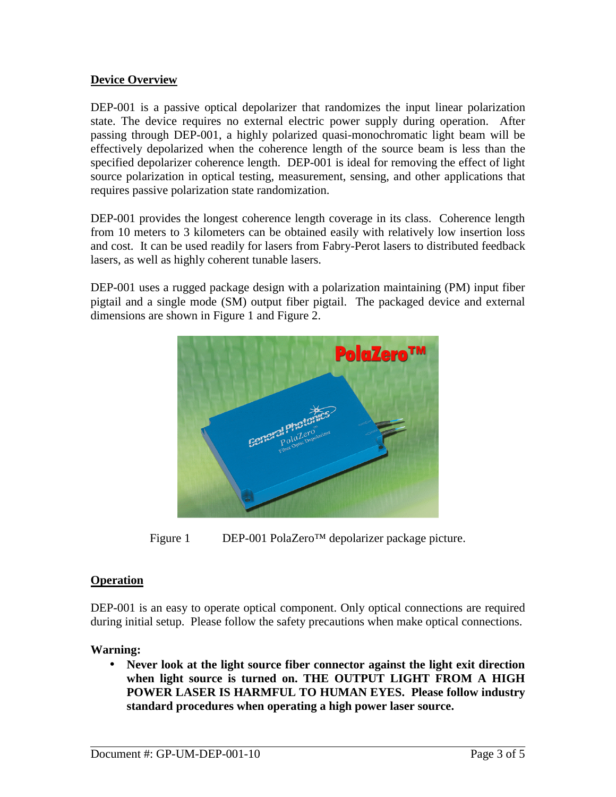## **Device Overview**

DEP-001 is a passive optical depolarizer that randomizes the input linear polarization state. The device requires no external electric power supply during operation. After passing through DEP-001, a highly polarized quasi-monochromatic light beam will be effectively depolarized when the coherence length of the source beam is less than the specified depolarizer coherence length. DEP-001 is ideal for removing the effect of light source polarization in optical testing, measurement, sensing, and other applications that requires passive polarization state randomization.

DEP-001 provides the longest coherence length coverage in its class. Coherence length from 10 meters to 3 kilometers can be obtained easily with relatively low insertion loss and cost. It can be used readily for lasers from Fabry-Perot lasers to distributed feedback lasers, as well as highly coherent tunable lasers.

DEP-001 uses a rugged package design with a polarization maintaining (PM) input fiber pigtail and a single mode (SM) output fiber pigtail. The packaged device and external dimensions are shown in Figure 1 and Figure 2.



Figure 1 DEP-001 PolaZero™ depolarizer package picture.

## **Operation**

DEP-001 is an easy to operate optical component. Only optical connections are required during initial setup. Please follow the safety precautions when make optical connections.

### **Warning:**

• **Never look at the light source fiber connector against the light exit direction when light source is turned on. THE OUTPUT LIGHT FROM A HIGH POWER LASER IS HARMFUL TO HUMAN EYES. Please follow industry standard procedures when operating a high power laser source.**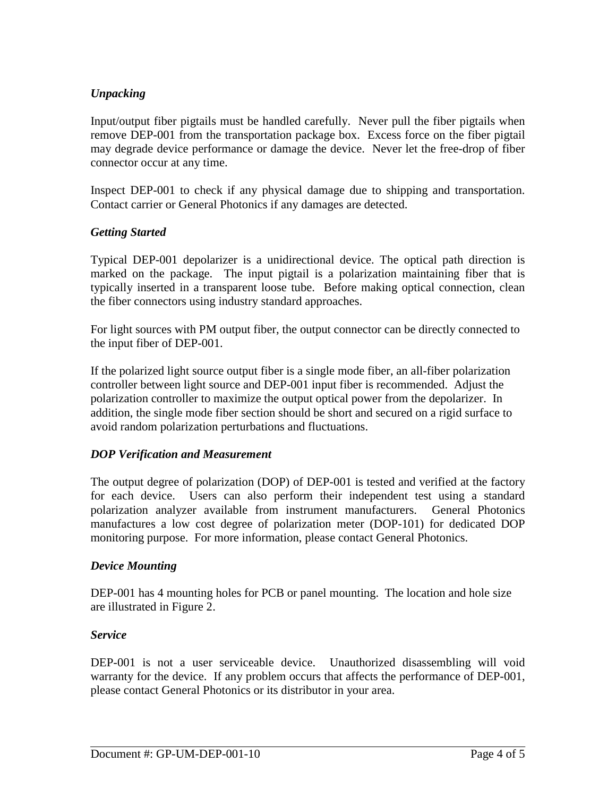## *Unpacking*

Input/output fiber pigtails must be handled carefully. Never pull the fiber pigtails when remove DEP-001 from the transportation package box. Excess force on the fiber pigtail may degrade device performance or damage the device. Never let the free-drop of fiber connector occur at any time.

Inspect DEP-001 to check if any physical damage due to shipping and transportation. Contact carrier or General Photonics if any damages are detected.

## *Getting Started*

Typical DEP-001 depolarizer is a unidirectional device. The optical path direction is marked on the package. The input pigtail is a polarization maintaining fiber that is typically inserted in a transparent loose tube. Before making optical connection, clean the fiber connectors using industry standard approaches.

For light sources with PM output fiber, the output connector can be directly connected to the input fiber of DEP-001.

If the polarized light source output fiber is a single mode fiber, an all-fiber polarization controller between light source and DEP-001 input fiber is recommended. Adjust the polarization controller to maximize the output optical power from the depolarizer. In addition, the single mode fiber section should be short and secured on a rigid surface to avoid random polarization perturbations and fluctuations.

### *DOP Verification and Measurement*

The output degree of polarization (DOP) of DEP-001 is tested and verified at the factory for each device. Users can also perform their independent test using a standard polarization analyzer available from instrument manufacturers. General Photonics manufactures a low cost degree of polarization meter (DOP-101) for dedicated DOP monitoring purpose. For more information, please contact General Photonics.

### *Device Mounting*

DEP-001 has 4 mounting holes for PCB or panel mounting. The location and hole size are illustrated in Figure 2.

### *Service*

DEP-001 is not a user serviceable device. Unauthorized disassembling will void warranty for the device. If any problem occurs that affects the performance of DEP-001, please contact General Photonics or its distributor in your area.